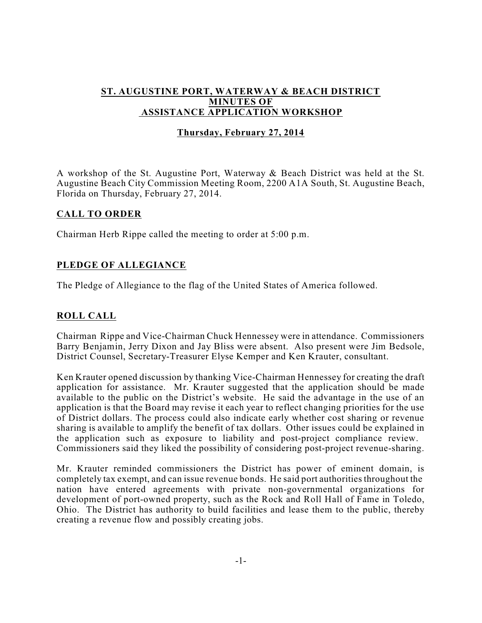# **ST. AUGUSTINE PORT, WATERWAY & BEACH DISTRICT MINUTES OF ASSISTANCE APPLICATION WORKSHOP**

### **Thursday, February 27, 2014**

A workshop of the St. Augustine Port, Waterway & Beach District was held at the St. Augustine Beach City Commission Meeting Room, 2200 A1A South, St. Augustine Beach, Florida on Thursday, February 27, 2014.

#### **CALL TO ORDER**

Chairman Herb Rippe called the meeting to order at 5:00 p.m.

#### **PLEDGE OF ALLEGIANCE**

The Pledge of Allegiance to the flag of the United States of America followed.

### **ROLL CALL**

Chairman Rippe and Vice-Chairman Chuck Hennessey were in attendance. Commissioners Barry Benjamin, Jerry Dixon and Jay Bliss were absent. Also present were Jim Bedsole, District Counsel, Secretary-Treasurer Elyse Kemper and Ken Krauter, consultant.

Ken Krauter opened discussion by thanking Vice-Chairman Hennessey for creating the draft application for assistance. Mr. Krauter suggested that the application should be made available to the public on the District's website. He said the advantage in the use of an application is that the Board may revise it each year to reflect changing priorities for the use of District dollars. The process could also indicate early whether cost sharing or revenue sharing is available to amplify the benefit of tax dollars. Other issues could be explained in the application such as exposure to liability and post-project compliance review. Commissioners said they liked the possibility of considering post-project revenue-sharing.

Mr. Krauter reminded commissioners the District has power of eminent domain, is completely tax exempt, and can issue revenue bonds. He said port authorities throughout the nation have entered agreements with private non-governmental organizations for development of port-owned property, such as the Rock and Roll Hall of Fame in Toledo, Ohio. The District has authority to build facilities and lease them to the public, thereby creating a revenue flow and possibly creating jobs.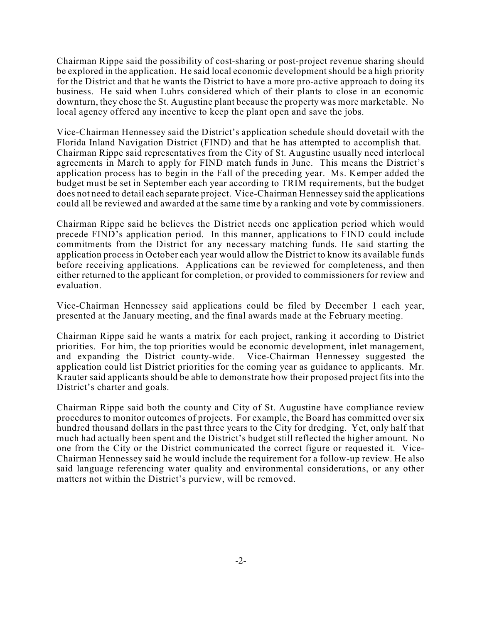Chairman Rippe said the possibility of cost-sharing or post-project revenue sharing should be explored in the application. He said local economic developmentshould be a high priority for the District and that he wants the District to have a more pro-active approach to doing its business. He said when Luhrs considered which of their plants to close in an economic downturn, they chose the St. Augustine plant because the property was more marketable. No local agency offered any incentive to keep the plant open and save the jobs.

Vice-Chairman Hennessey said the District's application schedule should dovetail with the Florida Inland Navigation District (FIND) and that he has attempted to accomplish that. Chairman Rippe said representatives from the City of St. Augustine usually need interlocal agreements in March to apply for FIND match funds in June. This means the District's application process has to begin in the Fall of the preceding year. Ms. Kemper added the budget must be set in September each year according to TRIM requirements, but the budget does not need to detail each separate project. Vice-Chairman Hennessey said the applications could all be reviewed and awarded at the same time by a ranking and vote by commissioners.

Chairman Rippe said he believes the District needs one application period which would precede FIND's application period. In this manner, applications to FIND could include commitments from the District for any necessary matching funds. He said starting the application process in October each year would allow the District to know its available funds before receiving applications. Applications can be reviewed for completeness, and then either returned to the applicant for completion, or provided to commissioners for review and evaluation.

Vice-Chairman Hennessey said applications could be filed by December 1 each year, presented at the January meeting, and the final awards made at the February meeting.

Chairman Rippe said he wants a matrix for each project, ranking it according to District priorities. For him, the top priorities would be economic development, inlet management, and expanding the District county-wide. Vice-Chairman Hennessey suggested the application could list District priorities for the coming year as guidance to applicants. Mr. Krauter said applicants should be able to demonstrate how their proposed project fits into the District's charter and goals.

Chairman Rippe said both the county and City of St. Augustine have compliance review procedures to monitor outcomes of projects. For example, the Board has committed over six hundred thousand dollars in the past three years to the City for dredging. Yet, only half that much had actually been spent and the District's budget still reflected the higher amount. No one from the City or the District communicated the correct figure or requested it. Vice-Chairman Hennessey said he would include the requirement for a follow-up review. He also said language referencing water quality and environmental considerations, or any other matters not within the District's purview, will be removed.